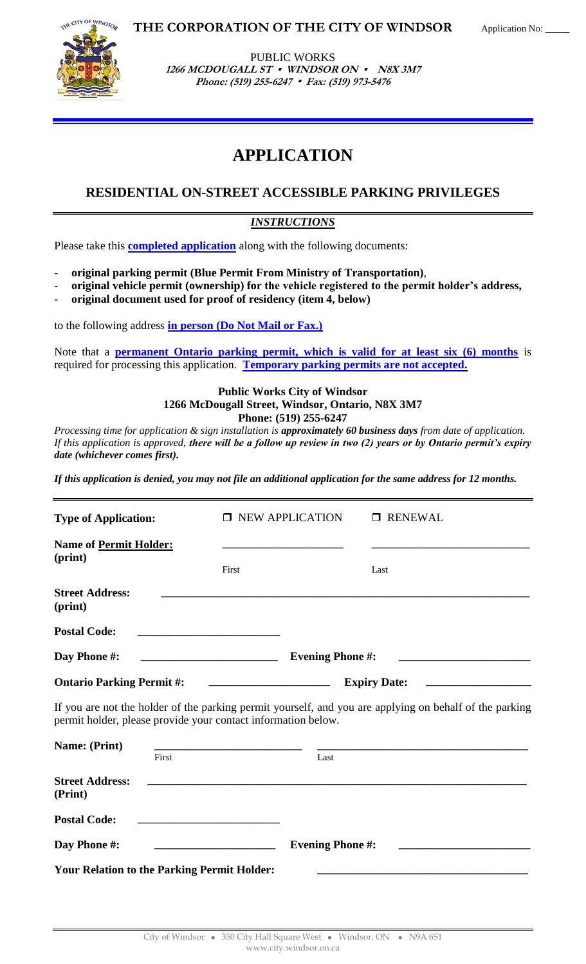

PUBLIC WORKS 1266 MCDOUGALL ST **·** WINDSOR ON **·** N8X 3M7 **Phone: (519) 255-6247 Fax: (519) 973-5476**

**THE CORPORATION OF THE CITY OF WINDSOR**

# **APPLICATION**

## **RESIDENTIAL ON-STREET ACCESSIBLE PARKING PRIVILEGES**

### *INSTRUCTIONS*

Please take this **completed application** along with the following documents:

- **original parking permit (Blue Permit From Ministry of Transportation)**,
- **original vehicle permit (ownership) for the vehicle registered to the permit holder's address,**
- **original document used for proof of residency (item 4, below)**

to the following address **in person (Do Not Mail or Fax.)** 

Note that a **permanent Ontario parking permit, which is valid for at least six (6) months** is required for processing this application. **Temporary parking permits are not accepted.**

#### **Public Works City of Windsor 1266 McDougall Street, Windsor, Ontario, N8X 3M7 Phone: (519) 255-6247**

*Processing time for application & sign installation is approximately 60 business days from date of application. If this application is approved, there will be a follow up review in two (2) years or by Ontario permit's expiry date (whichever comes first).* 

*If this application is denied, you may not file an additional application for the same address for 12 months.*

| <b>Type of Application:</b>                                   | <b>NEW APPLICATION</b>                                                                                                                          | <b>RENEWAL</b>                                                                                          |  |
|---------------------------------------------------------------|-------------------------------------------------------------------------------------------------------------------------------------------------|---------------------------------------------------------------------------------------------------------|--|
| <b>Name of Permit Holder:</b><br>(print)                      | First                                                                                                                                           | Last                                                                                                    |  |
| <b>Street Address:</b><br>(print)                             |                                                                                                                                                 |                                                                                                         |  |
| <b>Postal Code:</b>                                           |                                                                                                                                                 |                                                                                                         |  |
| Day Phone #:                                                  | <b>Evening Phone #:</b>                                                                                                                         |                                                                                                         |  |
| <b>Ontario Parking Permit #:</b>                              | <b>Expiry Date:</b>                                                                                                                             |                                                                                                         |  |
| permit holder, please provide your contact information below. |                                                                                                                                                 | If you are not the holder of the parking permit yourself, and you are applying on behalf of the parking |  |
| Name: (Print)                                                 | <u> 1989 - Andrea Stadt Britain, amerikansk politik (* 1958)</u>                                                                                |                                                                                                         |  |
| First                                                         | Last                                                                                                                                            |                                                                                                         |  |
| <b>Street Address:</b><br>(Print)                             |                                                                                                                                                 |                                                                                                         |  |
| <b>Postal Code:</b>                                           | <u> 1980 - Jan Barnett, mars andrew Maria Barnett, mars andrew Maria Barnett, mars andrew Maria Barnett, mars an</u>                            |                                                                                                         |  |
| Day Phone #:                                                  | <b>Evening Phone #:</b><br><u> 2000 - Jan Samuel Barbara, prima popular popular popular popular popular popular popular popular popular pop</u> |                                                                                                         |  |
| <b>Your Relation to the Parking Permit Holder:</b>            |                                                                                                                                                 |                                                                                                         |  |